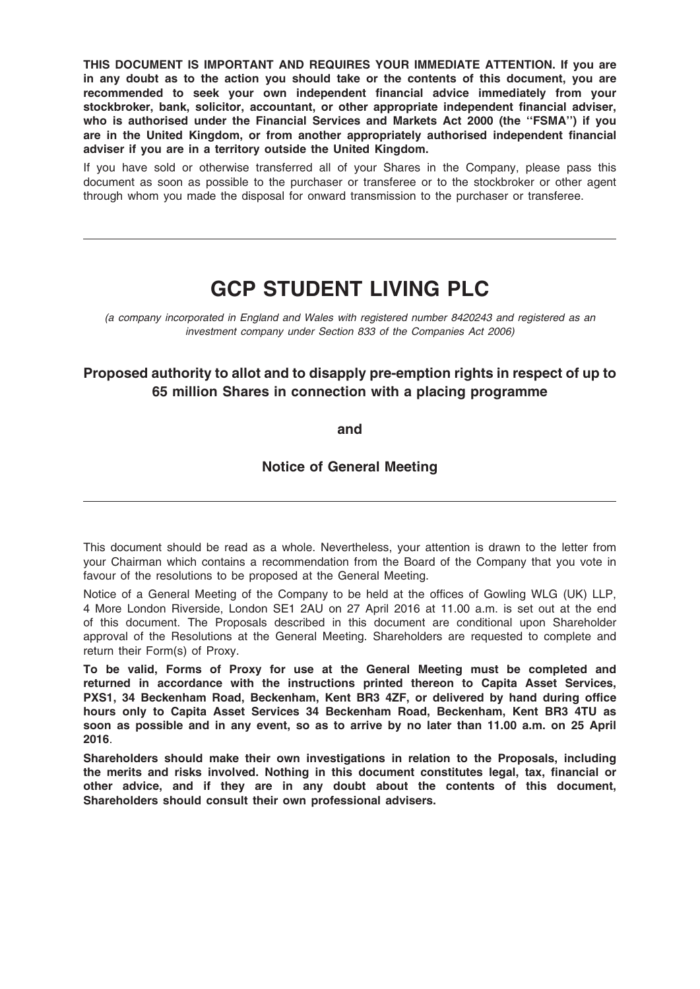THIS DOCUMENT IS IMPORTANT AND REQUIRES YOUR IMMEDIATE ATTENTION. If you are in any doubt as to the action you should take or the contents of this document, you are recommended to seek your own independent financial advice immediately from your stockbroker, bank, solicitor, accountant, or other appropriate independent financial adviser, who is authorised under the Financial Services and Markets Act 2000 (the "FSMA") if you are in the United Kingdom, or from another appropriately authorised independent financial adviser if you are in a territory outside the United Kingdom.

If you have sold or otherwise transferred all of your Shares in the Company, please pass this document as soon as possible to the purchaser or transferee or to the stockbroker or other agent through whom you made the disposal for onward transmission to the purchaser or transferee.

# GCP STUDENT LIVING PLC

(a company incorporated in England and Wales with registered number 8420243 and registered as an investment company under Section 833 of the Companies Act 2006)

# Proposed authority to allot and to disapply pre-emption rights in respect of up to 65 million Shares in connection with a placing programme

and

Notice of General Meeting

This document should be read as a whole. Nevertheless, your attention is drawn to the letter from your Chairman which contains a recommendation from the Board of the Company that you vote in favour of the resolutions to be proposed at the General Meeting.

Notice of a General Meeting of the Company to be held at the offices of Gowling WLG (UK) LLP, 4 More London Riverside, London SE1 2AU on 27 April 2016 at 11.00 a.m. is set out at the end of this document. The Proposals described in this document are conditional upon Shareholder approval of the Resolutions at the General Meeting. Shareholders are requested to complete and return their Form(s) of Proxy.

To be valid, Forms of Proxy for use at the General Meeting must be completed and returned in accordance with the instructions printed thereon to Capita Asset Services, PXS1, 34 Beckenham Road, Beckenham, Kent BR3 4ZF, or delivered by hand during office hours only to Capita Asset Services 34 Beckenham Road, Beckenham, Kent BR3 4TU as soon as possible and in any event, so as to arrive by no later than 11.00 a.m. on 25 April 2016.

Shareholders should make their own investigations in relation to the Proposals, including the merits and risks involved. Nothing in this document constitutes legal, tax, financial or other advice, and if they are in any doubt about the contents of this document, Shareholders should consult their own professional advisers.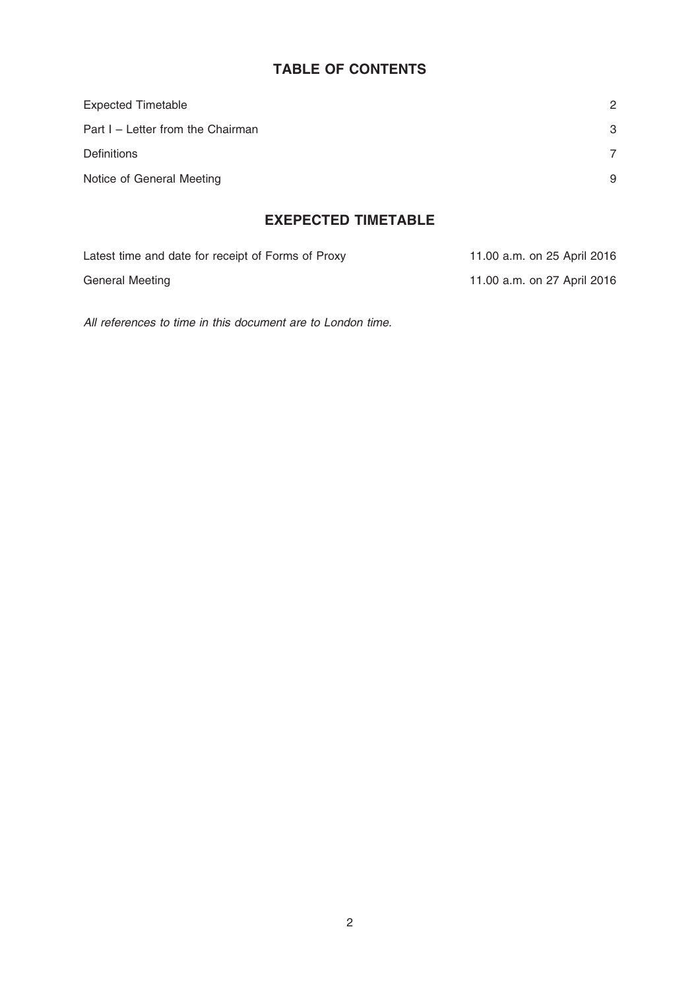# TABLE OF CONTENTS

| <b>Expected Timetable</b>         | 2 |
|-----------------------------------|---|
| Part I - Letter from the Chairman | 3 |
| <b>Definitions</b>                |   |
| Notice of General Meeting         | 9 |

# EXEPECTED TIMETABLE

| Latest time and date for receipt of Forms of Proxy | 11.00 a.m. on 25 April 2016 |
|----------------------------------------------------|-----------------------------|
| General Meeting                                    | 11.00 a.m. on 27 April 2016 |

All references to time in this document are to London time.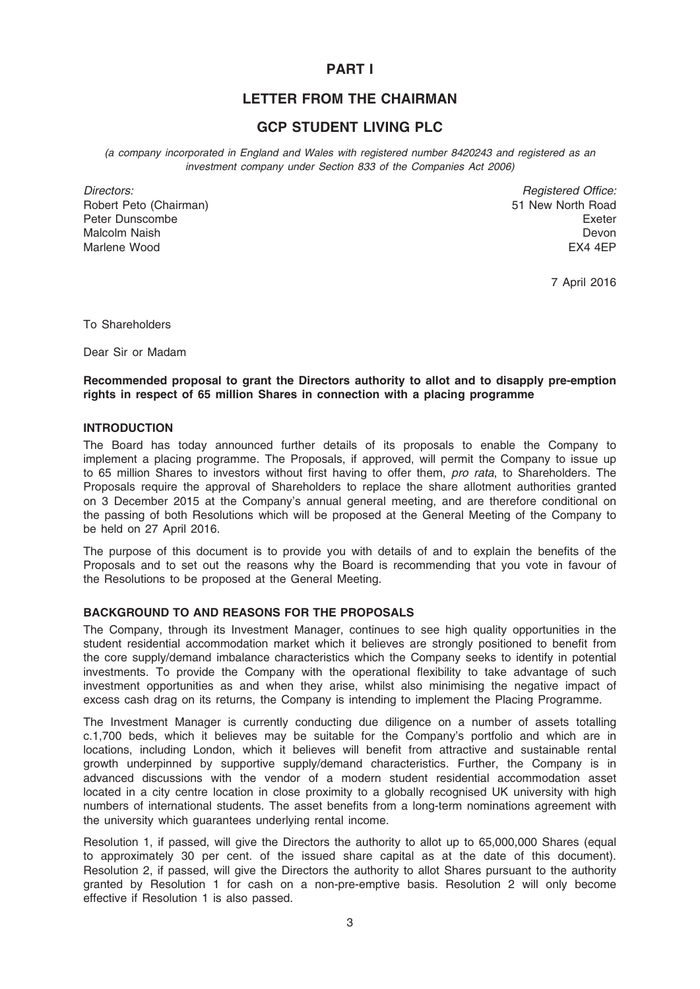# PART I

# LETTER FROM THE CHAIRMAN

# GCP STUDENT LIVING PLC

(a company incorporated in England and Wales with registered number 8420243 and registered as an investment company under Section 833 of the Companies Act 2006)

Directors: Robert Peto (Chairman) Peter Dunscombe Malcolm Naish Marlene Wood

Registered Office: 51 New North Road Exeter Devon EX4 4EP

7 April 2016

To Shareholders

Dear Sir or Madam

# Recommended proposal to grant the Directors authority to allot and to disapply pre-emption rights in respect of 65 million Shares in connection with a placing programme

### INTRODUCTION

The Board has today announced further details of its proposals to enable the Company to implement a placing programme. The Proposals, if approved, will permit the Company to issue up to 65 million Shares to investors without first having to offer them, *pro rata*, to Shareholders. The Proposals require the approval of Shareholders to replace the share allotment authorities granted on 3 December 2015 at the Company's annual general meeting, and are therefore conditional on the passing of both Resolutions which will be proposed at the General Meeting of the Company to be held on 27 April 2016.

The purpose of this document is to provide you with details of and to explain the benefits of the Proposals and to set out the reasons why the Board is recommending that you vote in favour of the Resolutions to be proposed at the General Meeting.

# BACKGROUND TO AND REASONS FOR THE PROPOSALS

The Company, through its Investment Manager, continues to see high quality opportunities in the student residential accommodation market which it believes are strongly positioned to benefit from the core supply/demand imbalance characteristics which the Company seeks to identify in potential investments. To provide the Company with the operational flexibility to take advantage of such investment opportunities as and when they arise, whilst also minimising the negative impact of excess cash drag on its returns, the Company is intending to implement the Placing Programme.

The Investment Manager is currently conducting due diligence on a number of assets totalling c.1,700 beds, which it believes may be suitable for the Company's portfolio and which are in locations, including London, which it believes will benefit from attractive and sustainable rental growth underpinned by supportive supply/demand characteristics. Further, the Company is in advanced discussions with the vendor of a modern student residential accommodation asset located in a city centre location in close proximity to a globally recognised UK university with high numbers of international students. The asset benefits from a long-term nominations agreement with the university which guarantees underlying rental income.

Resolution 1, if passed, will give the Directors the authority to allot up to 65,000,000 Shares (equal to approximately 30 per cent. of the issued share capital as at the date of this document). Resolution 2, if passed, will give the Directors the authority to allot Shares pursuant to the authority granted by Resolution 1 for cash on a non-pre-emptive basis. Resolution 2 will only become effective if Resolution 1 is also passed.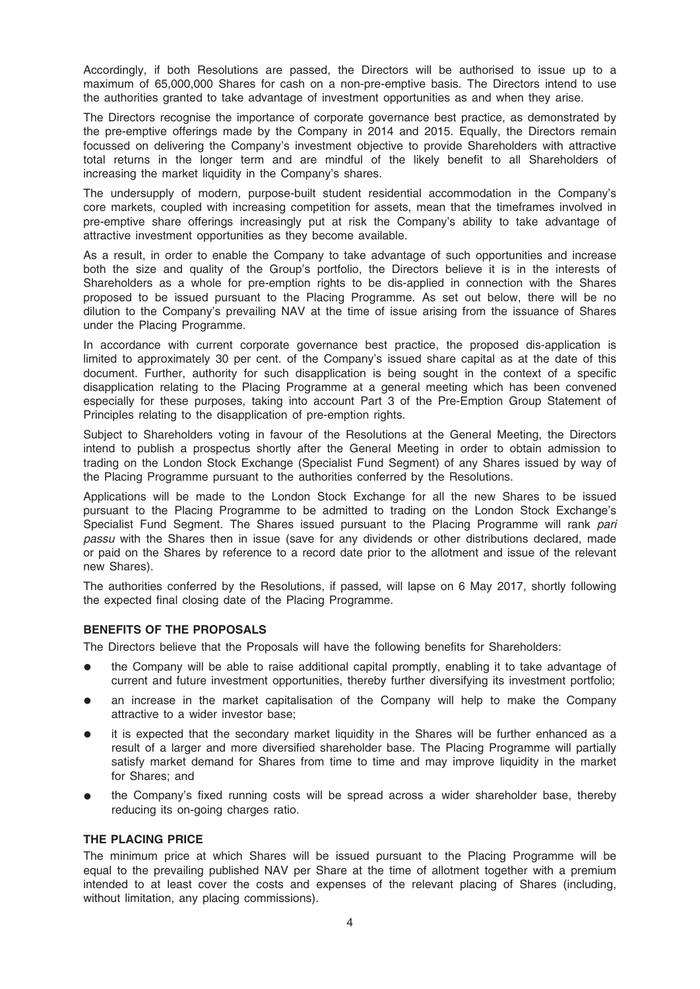Accordingly, if both Resolutions are passed, the Directors will be authorised to issue up to a maximum of 65,000,000 Shares for cash on a non-pre-emptive basis. The Directors intend to use the authorities granted to take advantage of investment opportunities as and when they arise.

The Directors recognise the importance of corporate governance best practice, as demonstrated by the pre-emptive offerings made by the Company in 2014 and 2015. Equally, the Directors remain focussed on delivering the Company's investment objective to provide Shareholders with attractive total returns in the longer term and are mindful of the likely benefit to all Shareholders of increasing the market liquidity in the Company's shares.

The undersupply of modern, purpose-built student residential accommodation in the Company's core markets, coupled with increasing competition for assets, mean that the timeframes involved in pre-emptive share offerings increasingly put at risk the Company's ability to take advantage of attractive investment opportunities as they become available.

As a result, in order to enable the Company to take advantage of such opportunities and increase both the size and quality of the Group's portfolio, the Directors believe it is in the interests of Shareholders as a whole for pre-emption rights to be dis-applied in connection with the Shares proposed to be issued pursuant to the Placing Programme. As set out below, there will be no dilution to the Company's prevailing NAV at the time of issue arising from the issuance of Shares under the Placing Programme.

In accordance with current corporate governance best practice, the proposed dis-application is limited to approximately 30 per cent. of the Company's issued share capital as at the date of this document. Further, authority for such disapplication is being sought in the context of a specific disapplication relating to the Placing Programme at a general meeting which has been convened especially for these purposes, taking into account Part 3 of the Pre-Emption Group Statement of Principles relating to the disapplication of pre-emption rights.

Subject to Shareholders voting in favour of the Resolutions at the General Meeting, the Directors intend to publish a prospectus shortly after the General Meeting in order to obtain admission to trading on the London Stock Exchange (Specialist Fund Segment) of any Shares issued by way of the Placing Programme pursuant to the authorities conferred by the Resolutions.

Applications will be made to the London Stock Exchange for all the new Shares to be issued pursuant to the Placing Programme to be admitted to trading on the London Stock Exchange's Specialist Fund Segment. The Shares issued pursuant to the Placing Programme will rank pari passu with the Shares then in issue (save for any dividends or other distributions declared, made or paid on the Shares by reference to a record date prior to the allotment and issue of the relevant new Shares).

The authorities conferred by the Resolutions, if passed, will lapse on 6 May 2017, shortly following the expected final closing date of the Placing Programme.

# BENEFITS OF THE PROPOSALS

The Directors believe that the Proposals will have the following benefits for Shareholders:

- the Company will be able to raise additional capital promptly, enabling it to take advantage of current and future investment opportunities, thereby further diversifying its investment portfolio;
- an increase in the market capitalisation of the Company will help to make the Company attractive to a wider investor base;
- it is expected that the secondary market liquidity in the Shares will be further enhanced as a result of a larger and more diversified shareholder base. The Placing Programme will partially satisfy market demand for Shares from time to time and may improve liquidity in the market for Shares; and
- the Company's fixed running costs will be spread across a wider shareholder base, thereby reducing its on-going charges ratio.

### THE PLACING PRICE

The minimum price at which Shares will be issued pursuant to the Placing Programme will be equal to the prevailing published NAV per Share at the time of allotment together with a premium intended to at least cover the costs and expenses of the relevant placing of Shares (including, without limitation, any placing commissions).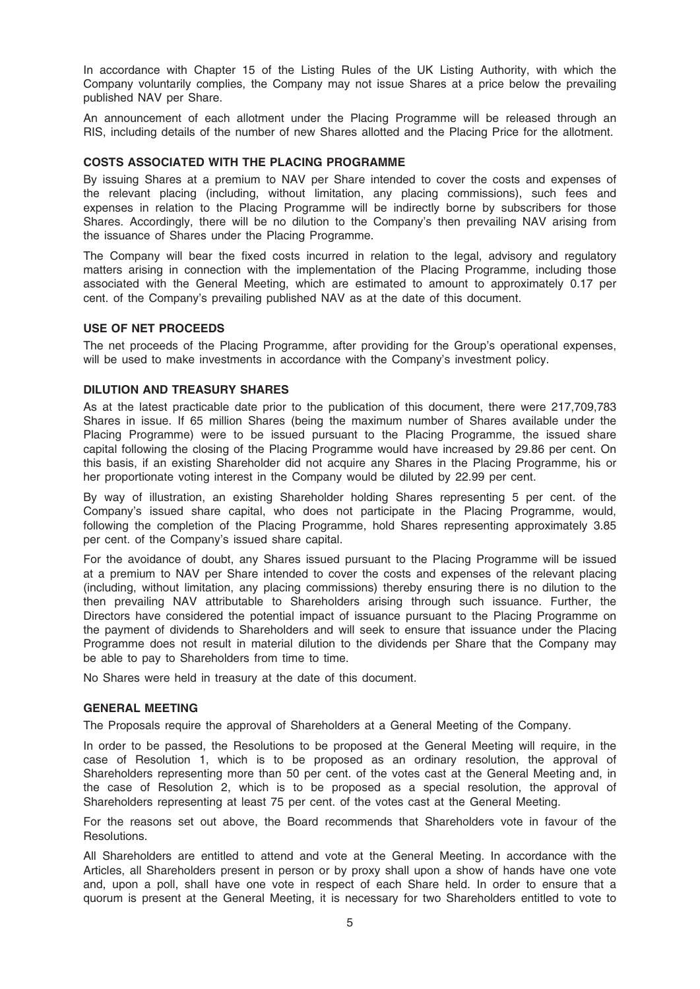In accordance with Chapter 15 of the Listing Rules of the UK Listing Authority, with which the Company voluntarily complies, the Company may not issue Shares at a price below the prevailing published NAV per Share.

An announcement of each allotment under the Placing Programme will be released through an RIS, including details of the number of new Shares allotted and the Placing Price for the allotment.

### COSTS ASSOCIATED WITH THE PLACING PROGRAMME

By issuing Shares at a premium to NAV per Share intended to cover the costs and expenses of the relevant placing (including, without limitation, any placing commissions), such fees and expenses in relation to the Placing Programme will be indirectly borne by subscribers for those Shares. Accordingly, there will be no dilution to the Company's then prevailing NAV arising from the issuance of Shares under the Placing Programme.

The Company will bear the fixed costs incurred in relation to the legal, advisory and regulatory matters arising in connection with the implementation of the Placing Programme, including those associated with the General Meeting, which are estimated to amount to approximately 0.17 per cent. of the Company's prevailing published NAV as at the date of this document.

### USE OF NET PROCEEDS

The net proceeds of the Placing Programme, after providing for the Group's operational expenses, will be used to make investments in accordance with the Company's investment policy.

### DILUTION AND TREASURY SHARES

As at the latest practicable date prior to the publication of this document, there were 217,709,783 Shares in issue. If 65 million Shares (being the maximum number of Shares available under the Placing Programme) were to be issued pursuant to the Placing Programme, the issued share capital following the closing of the Placing Programme would have increased by 29.86 per cent. On this basis, if an existing Shareholder did not acquire any Shares in the Placing Programme, his or her proportionate voting interest in the Company would be diluted by 22.99 per cent.

By way of illustration, an existing Shareholder holding Shares representing 5 per cent. of the Company's issued share capital, who does not participate in the Placing Programme, would, following the completion of the Placing Programme, hold Shares representing approximately 3.85 per cent. of the Company's issued share capital.

For the avoidance of doubt, any Shares issued pursuant to the Placing Programme will be issued at a premium to NAV per Share intended to cover the costs and expenses of the relevant placing (including, without limitation, any placing commissions) thereby ensuring there is no dilution to the then prevailing NAV attributable to Shareholders arising through such issuance. Further, the Directors have considered the potential impact of issuance pursuant to the Placing Programme on the payment of dividends to Shareholders and will seek to ensure that issuance under the Placing Programme does not result in material dilution to the dividends per Share that the Company may be able to pay to Shareholders from time to time.

No Shares were held in treasury at the date of this document.

#### GENERAL MEETING

The Proposals require the approval of Shareholders at a General Meeting of the Company.

In order to be passed, the Resolutions to be proposed at the General Meeting will require, in the case of Resolution 1, which is to be proposed as an ordinary resolution, the approval of Shareholders representing more than 50 per cent. of the votes cast at the General Meeting and, in the case of Resolution 2, which is to be proposed as a special resolution, the approval of Shareholders representing at least 75 per cent. of the votes cast at the General Meeting.

For the reasons set out above, the Board recommends that Shareholders vote in favour of the Resolutions.

All Shareholders are entitled to attend and vote at the General Meeting. In accordance with the Articles, all Shareholders present in person or by proxy shall upon a show of hands have one vote and, upon a poll, shall have one vote in respect of each Share held. In order to ensure that a quorum is present at the General Meeting, it is necessary for two Shareholders entitled to vote to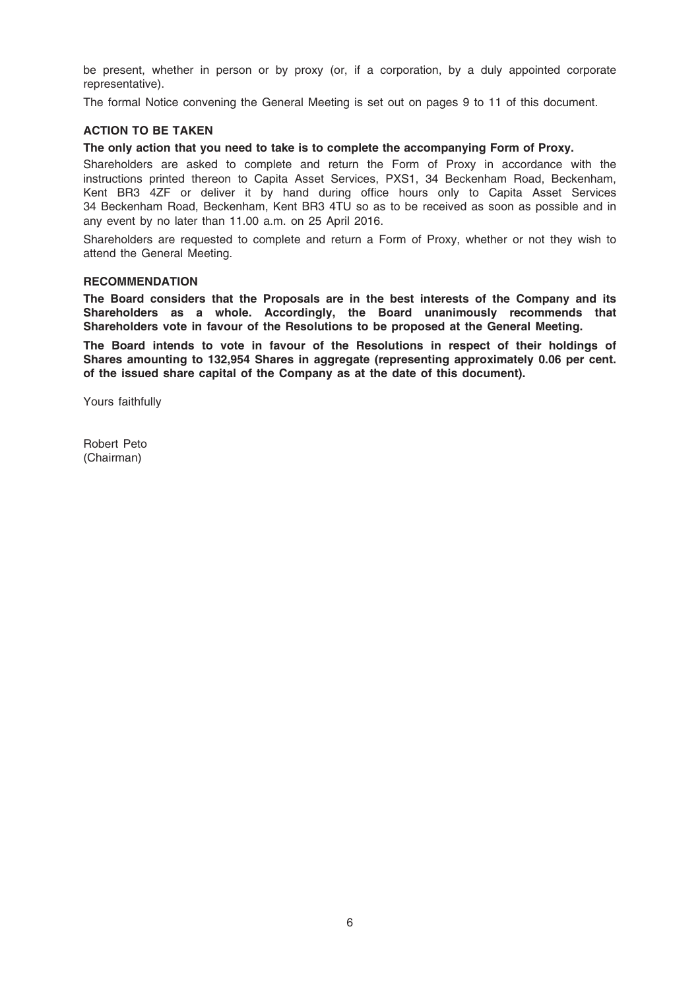be present, whether in person or by proxy (or, if a corporation, by a duly appointed corporate representative).

The formal Notice convening the General Meeting is set out on pages 9 to 11 of this document.

### ACTION TO BE TAKEN

# The only action that you need to take is to complete the accompanying Form of Proxy.

Shareholders are asked to complete and return the Form of Proxy in accordance with the instructions printed thereon to Capita Asset Services, PXS1, 34 Beckenham Road, Beckenham, Kent BR3 4ZF or deliver it by hand during office hours only to Capita Asset Services 34 Beckenham Road, Beckenham, Kent BR3 4TU so as to be received as soon as possible and in any event by no later than 11.00 a.m. on 25 April 2016.

Shareholders are requested to complete and return a Form of Proxy, whether or not they wish to attend the General Meeting.

### **RECOMMENDATION**

The Board considers that the Proposals are in the best interests of the Company and its Shareholders as a whole. Accordingly, the Board unanimously recommends that Shareholders vote in favour of the Resolutions to be proposed at the General Meeting.

The Board intends to vote in favour of the Resolutions in respect of their holdings of Shares amounting to 132,954 Shares in aggregate (representing approximately 0.06 per cent. of the issued share capital of the Company as at the date of this document).

Yours faithfully

Robert Peto (Chairman)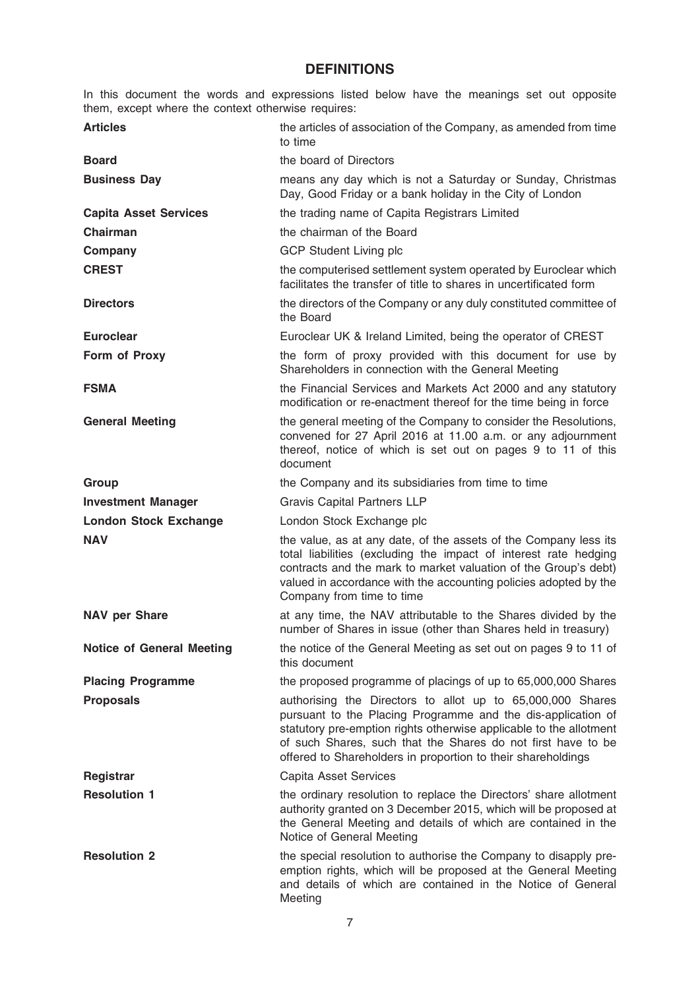# **DEFINITIONS**

In this document the words and expressions listed below have the meanings set out opposite them, except where the context otherwise requires:

| <b>Articles</b>                  | the articles of association of the Company, as amended from time<br>to time                                                                                                                                                                                                                                                      |
|----------------------------------|----------------------------------------------------------------------------------------------------------------------------------------------------------------------------------------------------------------------------------------------------------------------------------------------------------------------------------|
| <b>Board</b>                     | the board of Directors                                                                                                                                                                                                                                                                                                           |
| <b>Business Day</b>              | means any day which is not a Saturday or Sunday, Christmas<br>Day, Good Friday or a bank holiday in the City of London                                                                                                                                                                                                           |
| <b>Capita Asset Services</b>     | the trading name of Capita Registrars Limited                                                                                                                                                                                                                                                                                    |
| <b>Chairman</b>                  | the chairman of the Board                                                                                                                                                                                                                                                                                                        |
| Company                          | <b>GCP Student Living plc</b>                                                                                                                                                                                                                                                                                                    |
| <b>CREST</b>                     | the computerised settlement system operated by Euroclear which<br>facilitates the transfer of title to shares in uncertificated form                                                                                                                                                                                             |
| <b>Directors</b>                 | the directors of the Company or any duly constituted committee of<br>the Board                                                                                                                                                                                                                                                   |
| <b>Euroclear</b>                 | Euroclear UK & Ireland Limited, being the operator of CREST                                                                                                                                                                                                                                                                      |
| Form of Proxy                    | the form of proxy provided with this document for use by<br>Shareholders in connection with the General Meeting                                                                                                                                                                                                                  |
| <b>FSMA</b>                      | the Financial Services and Markets Act 2000 and any statutory<br>modification or re-enactment thereof for the time being in force                                                                                                                                                                                                |
| <b>General Meeting</b>           | the general meeting of the Company to consider the Resolutions,<br>convened for 27 April 2016 at 11.00 a.m. or any adjournment<br>thereof, notice of which is set out on pages 9 to 11 of this<br>document                                                                                                                       |
| Group                            | the Company and its subsidiaries from time to time                                                                                                                                                                                                                                                                               |
| <b>Investment Manager</b>        | <b>Gravis Capital Partners LLP</b>                                                                                                                                                                                                                                                                                               |
| <b>London Stock Exchange</b>     | London Stock Exchange plc                                                                                                                                                                                                                                                                                                        |
| <b>NAV</b>                       | the value, as at any date, of the assets of the Company less its<br>total liabilities (excluding the impact of interest rate hedging<br>contracts and the mark to market valuation of the Group's debt)<br>valued in accordance with the accounting policies adopted by the<br>Company from time to time                         |
| <b>NAV per Share</b>             | at any time, the NAV attributable to the Shares divided by the<br>number of Shares in issue (other than Shares held in treasury)                                                                                                                                                                                                 |
| <b>Notice of General Meeting</b> | the notice of the General Meeting as set out on pages 9 to 11 of<br>this document                                                                                                                                                                                                                                                |
| <b>Placing Programme</b>         | the proposed programme of placings of up to 65,000,000 Shares                                                                                                                                                                                                                                                                    |
| <b>Proposals</b>                 | authorising the Directors to allot up to 65,000,000 Shares<br>pursuant to the Placing Programme and the dis-application of<br>statutory pre-emption rights otherwise applicable to the allotment<br>of such Shares, such that the Shares do not first have to be<br>offered to Shareholders in proportion to their shareholdings |
| Registrar                        | Capita Asset Services                                                                                                                                                                                                                                                                                                            |
| <b>Resolution 1</b>              | the ordinary resolution to replace the Directors' share allotment<br>authority granted on 3 December 2015, which will be proposed at<br>the General Meeting and details of which are contained in the<br>Notice of General Meeting                                                                                               |
| <b>Resolution 2</b>              | the special resolution to authorise the Company to disapply pre-<br>emption rights, which will be proposed at the General Meeting<br>and details of which are contained in the Notice of General<br>Meeting                                                                                                                      |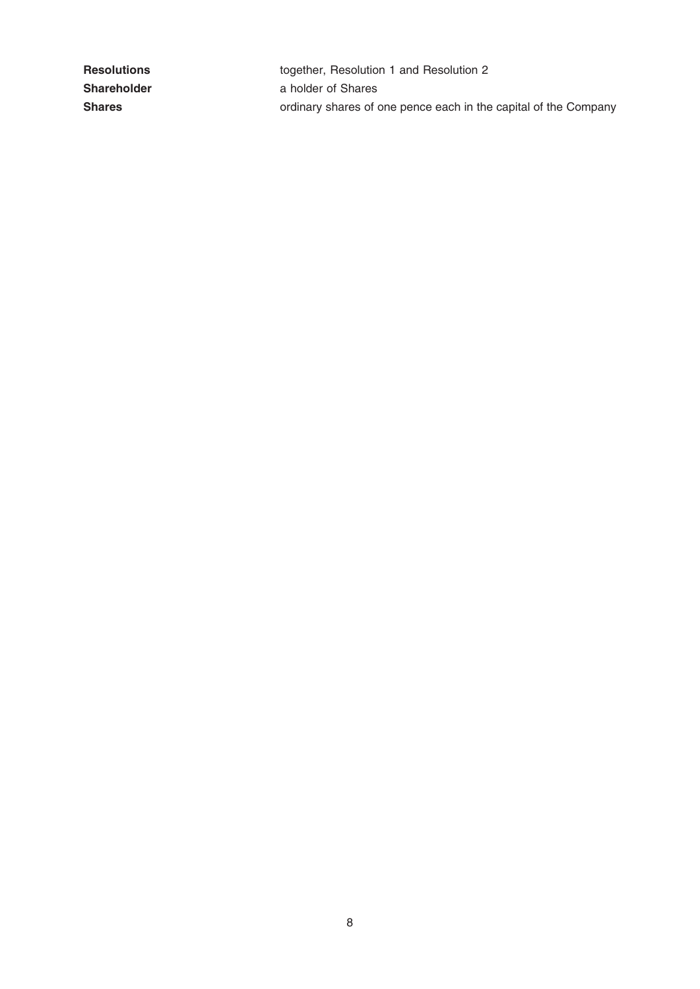| <b>Resolutions</b> | together, Resolution 1 and Resolution 2                         |
|--------------------|-----------------------------------------------------------------|
| <b>Shareholder</b> | a holder of Shares                                              |
| <b>Shares</b>      | ordinary shares of one pence each in the capital of the Company |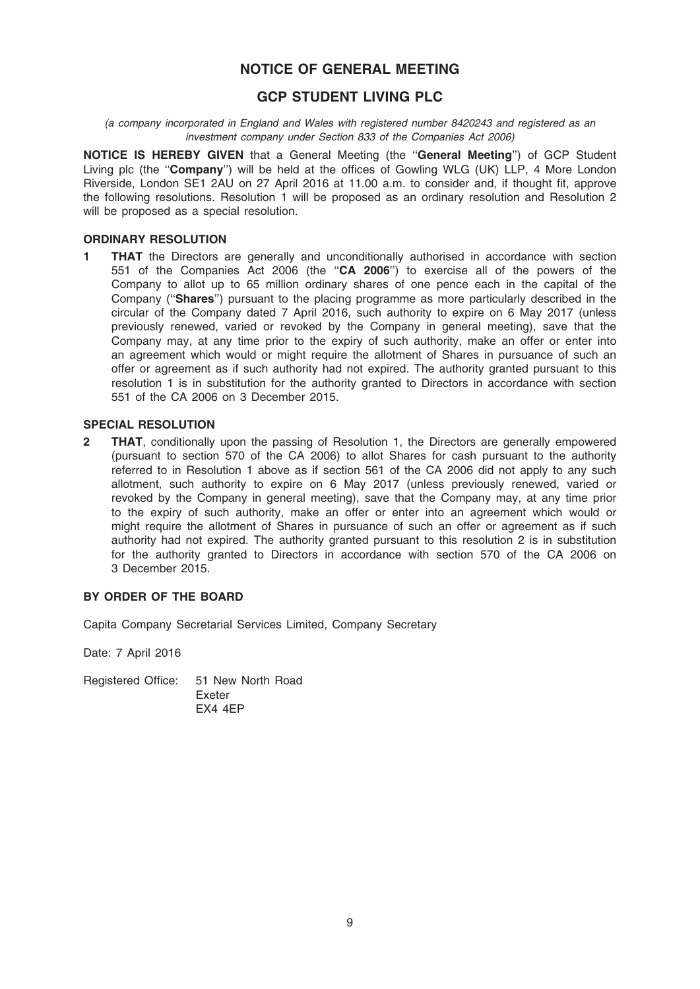# NOTICE OF GENERAL MEETING

# GCP STUDENT LIVING PLC

(a company incorporated in England and Wales with registered number 8420243 and registered as an investment company under Section 833 of the Companies Act 2006)

NOTICE IS HEREBY GIVEN that a General Meeting (the ''General Meeting'') of GCP Student Living plc (the "Company") will be held at the offices of Gowling WLG (UK) LLP, 4 More London Riverside, London SE1 2AU on 27 April 2016 at 11.00 a.m. to consider and, if thought fit, approve the following resolutions. Resolution 1 will be proposed as an ordinary resolution and Resolution 2 will be proposed as a special resolution.

# ORDINARY RESOLUTION

**1 THAT** the Directors are generally and unconditionally authorised in accordance with section 551 of the Companies Act 2006 (the ''CA 2006'') to exercise all of the powers of the Company to allot up to 65 million ordinary shares of one pence each in the capital of the Company (''Shares'') pursuant to the placing programme as more particularly described in the circular of the Company dated 7 April 2016, such authority to expire on 6 May 2017 (unless previously renewed, varied or revoked by the Company in general meeting), save that the Company may, at any time prior to the expiry of such authority, make an offer or enter into an agreement which would or might require the allotment of Shares in pursuance of such an offer or agreement as if such authority had not expired. The authority granted pursuant to this resolution 1 is in substitution for the authority granted to Directors in accordance with section 551 of the CA 2006 on 3 December 2015.

### SPECIAL RESOLUTION

**2 THAT**, conditionally upon the passing of Resolution 1, the Directors are generally empowered (pursuant to section 570 of the CA 2006) to allot Shares for cash pursuant to the authority referred to in Resolution 1 above as if section 561 of the CA 2006 did not apply to any such allotment, such authority to expire on 6 May 2017 (unless previously renewed, varied or revoked by the Company in general meeting), save that the Company may, at any time prior to the expiry of such authority, make an offer or enter into an agreement which would or might require the allotment of Shares in pursuance of such an offer or agreement as if such authority had not expired. The authority granted pursuant to this resolution 2 is in substitution for the authority granted to Directors in accordance with section 570 of the CA 2006 on 3 December 2015.

# BY ORDER OF THE BOARD

Capita Company Secretarial Services Limited, Company Secretary

Date: 7 April 2016

Registered Office: 51 New North Road Exeter EX4 4EP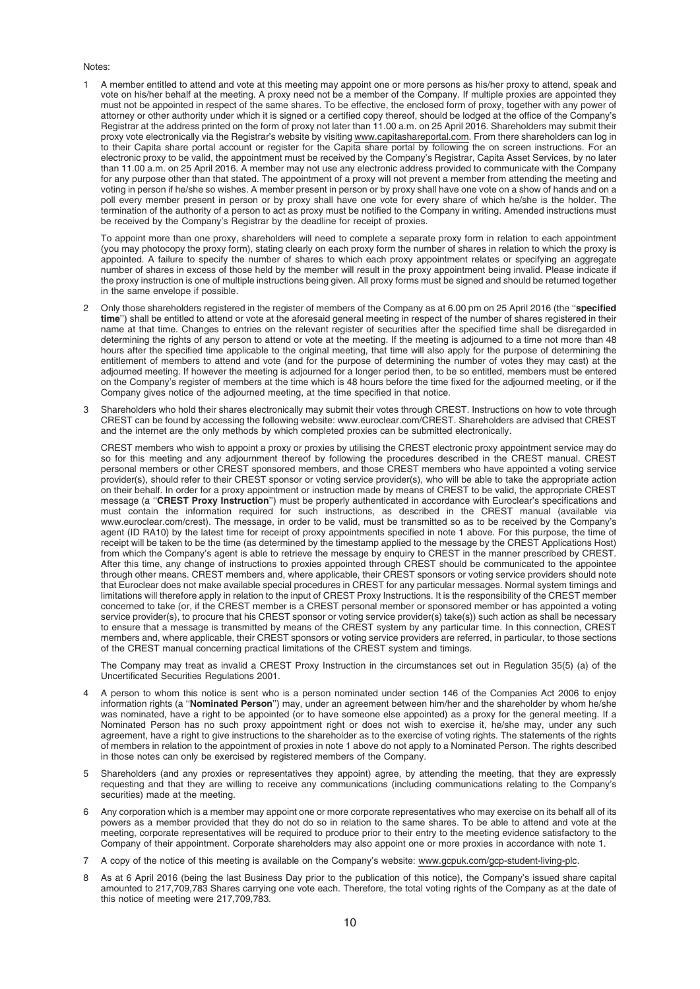#### Notes:

1 A member entitled to attend and vote at this meeting may appoint one or more persons as his/her proxy to attend, speak and vote on his/her behalf at the meeting. A proxy need not be a member of the Company. If multiple proxies are appointed they must not be appointed in respect of the same shares. To be effective, the enclosed form of proxy, together with any power of attorney or other authority under which it is signed or a certified copy thereof, should be lodged at the office of the Company's Registrar at the address printed on the form of proxy not later than 11.00 a.m. on 25 April 2016. Shareholders may submit their proxy vote electronically via the Registrar's website by visiting www.capitashareportal.com. From there shareholders can log in to their Capita share portal account or register for the Capita share portal by following the on screen instructions. For an electronic proxy to be valid, the appointment must be received by the Company's Registrar, Capita Asset Services, by no later than 11.00 a.m. on 25 April 2016. A member may not use any electronic address provided to communicate with the Company for any purpose other than that stated. The appointment of a proxy will not prevent a member from attending the meeting and voting in person if he/she so wishes. A member present in person or by proxy shall have one vote on a show of hands and on a poll every member present in person or by proxy shall have one vote for every share of which he/she is the holder. The termination of the authority of a person to act as proxy must be notified to the Company in writing. Amended instructions must be received by the Company's Registrar by the deadline for receipt of proxies.

To appoint more than one proxy, shareholders will need to complete a separate proxy form in relation to each appointment (you may photocopy the proxy form), stating clearly on each proxy form the number of shares in relation to which the proxy is appointed. A failure to specify the number of shares to which each proxy appointment relates or specifying an aggregate number of shares in excess of those held by the member will result in the proxy appointment being invalid. Please indicate if the proxy instruction is one of multiple instructions being given. All proxy forms must be signed and should be returned together in the same envelope if possible.

- Only those shareholders registered in the register of members of the Company as at 6.00 pm on 25 April 2016 (the "specified time") shall be entitled to attend or vote at the aforesaid general meeting in respect of the number of shares registered in their name at that time. Changes to entries on the relevant register of securities after the specified time shall be disregarded in determining the rights of any person to attend or vote at the meeting. If the meeting is adjourned to a time not more than 48 hours after the specified time applicable to the original meeting, that time will also apply for the purpose of determining the entitlement of members to attend and vote (and for the purpose of determining the number of votes they may cast) at the adjourned meeting. If however the meeting is adjourned for a longer period then, to be so entitled, members must be entered on the Company's register of members at the time which is 48 hours before the time fixed for the adjourned meeting, or if the Company gives notice of the adjourned meeting, at the time specified in that notice.
- 3 Shareholders who hold their shares electronically may submit their votes through CREST. Instructions on how to vote through CREST can be found by accessing the following website: www.euroclear.com/CREST. Shareholders are advised that CREST and the internet are the only methods by which completed proxies can be submitted electronically.

CREST members who wish to appoint a proxy or proxies by utilising the CREST electronic proxy appointment service may do so for this meeting and any adjournment thereof by following the procedures described in the CREST manual. CREST personal members or other CREST sponsored members, and those CREST members who have appointed a voting service provider(s), should refer to their CREST sponsor or voting service provider(s), who will be able to take the appropriate action on their behalf. In order for a proxy appointment or instruction made by means of CREST to be valid, the appropriate CREST message (a "CREST Proxy Instruction") must be properly authenticated in accordance with Euroclear's specifications and must contain the information required for such instructions, as described in the CREST manual (available via www.euroclear.com/crest). The message, in order to be valid, must be transmitted so as to be received by the Company's agent (ID RA10) by the latest time for receipt of proxy appointments specified in note 1 above. For this purpose, the time of receipt will be taken to be the time (as determined by the timestamp applied to the message by the CREST Applications Host) from which the Company's agent is able to retrieve the message by enquiry to CREST in the manner prescribed by CREST. After this time, any change of instructions to proxies appointed through CREST should be communicated to the appointee through other means. CREST members and, where applicable, their CREST sponsors or voting service providers should note that Euroclear does not make available special procedures in CREST for any particular messages. Normal system timings and limitations will therefore apply in relation to the input of CREST Proxy Instructions. It is the responsibility of the CREST member concerned to take (or, if the CREST member is a CREST personal member or sponsored member or has appointed a voting service provider(s), to procure that his CREST sponsor or voting service provider(s) take(s)) such action as shall be necessary to ensure that a message is transmitted by means of the CREST system by any particular time. In this connection, CREST members and, where applicable, their CREST sponsors or voting service providers are referred, in particular, to those sections of the CREST manual concerning practical limitations of the CREST system and timings.

The Company may treat as invalid a CREST Proxy Instruction in the circumstances set out in Regulation 35(5) (a) of the Uncertificated Securities Regulations 2001.

- 4 A person to whom this notice is sent who is a person nominated under section 146 of the Companies Act 2006 to enjoy information rights (a ''Nominated Person'') may, under an agreement between him/her and the shareholder by whom he/she was nominated, have a right to be appointed (or to have someone else appointed) as a proxy for the general meeting. If a Nominated Person has no such proxy appointment right or does not wish to exercise it, he/she may, under any such agreement, have a right to give instructions to the shareholder as to the exercise of voting rights. The statements of the rights of members in relation to the appointment of proxies in note 1 above do not apply to a Nominated Person. The rights described in those notes can only be exercised by registered members of the Company.
- 5 Shareholders (and any proxies or representatives they appoint) agree, by attending the meeting, that they are expressly requesting and that they are willing to receive any communications (including communications relating to the Company's securities) made at the meeting.
- 6 Any corporation which is a member may appoint one or more corporate representatives who may exercise on its behalf all of its powers as a member provided that they do not do so in relation to the same shares. To be able to attend and vote at the meeting, corporate representatives will be required to produce prior to their entry to the meeting evidence satisfactory to the Company of their appointment. Corporate shareholders may also appoint one or more proxies in accordance with note 1.
- 7 A copy of the notice of this meeting is available on the Company's website: www.gcpuk.com/gcp-student-living-plc.
- 8 As at 6 April 2016 (being the last Business Day prior to the publication of this notice), the Company's issued share capital amounted to 217,709,783 Shares carrying one vote each. Therefore, the total voting rights of the Company as at the date of this notice of meeting were 217,709,783.